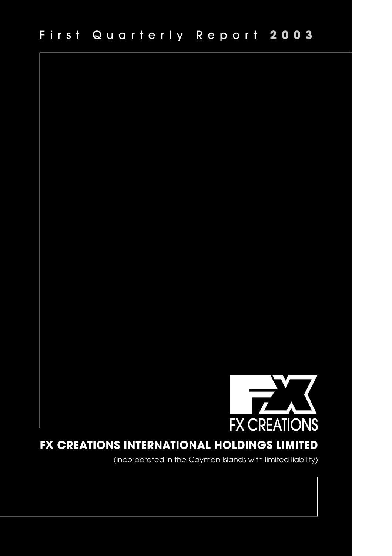

# **FX CREATIONS INTERNATIONAL HOLDINGS LIMITED**

(incorporated in the Cayman Islands with limited liability)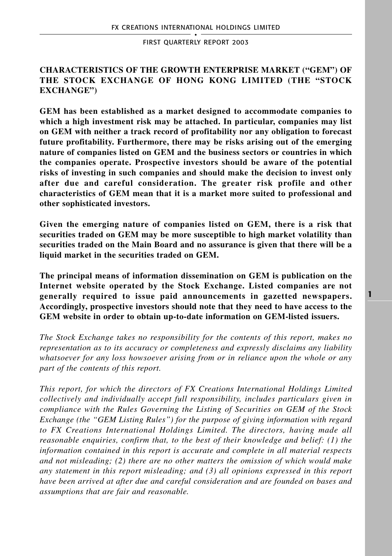# **CHARACTERISTICS OF THE GROWTH ENTERPRISE MARKET ("GEM") OF THE STOCK EXCHANGE OF HONG KONG LIMITED (THE "STOCK EXCHANGE")**

**GEM has been established as a market designed to accommodate companies to which a high investment risk may be attached. In particular, companies may list on GEM with neither a track record of profitability nor any obligation to forecast future profitability. Furthermore, there may be risks arising out of the emerging nature of companies listed on GEM and the business sectors or countries in which the companies operate. Prospective investors should be aware of the potential risks of investing in such companies and should make the decision to invest only after due and careful consideration. The greater risk profile and other characteristics of GEM mean that it is a market more suited to professional and other sophisticated investors.**

**Given the emerging nature of companies listed on GEM, there is a risk that securities traded on GEM may be more susceptible to high market volatility than securities traded on the Main Board and no assurance is given that there will be a liquid market in the securities traded on GEM.**

**The principal means of information dissemination on GEM is publication on the Internet website operated by the Stock Exchange. Listed companies are not generally required to issue paid announcements in gazetted newspapers. Accordingly, prospective investors should note that they need to have access to the GEM website in order to obtain up-to-date information on GEM-listed issuers.**

*The Stock Exchange takes no responsibility for the contents of this report, makes no representation as to its accuracy or completeness and expressly disclaims any liability whatsoever for any loss howsoever arising from or in reliance upon the whole or any part of the contents of this report.*

*This report, for which the directors of FX Creations International Holdings Limited collectively and individually accept full responsibility, includes particulars given in compliance with the Rules Governing the Listing of Securities on GEM of the Stock Exchange (the "GEM Listing Rules") for the purpose of giving information with regard to FX Creations International Holdings Limited. The directors, having made all reasonable enquiries, confirm that, to the best of their knowledge and belief: (1) the information contained in this report is accurate and complete in all material respects and not misleading; (2) there are no other matters the omission of which would make any statement in this report misleading; and (3) all opinions expressed in this report have been arrived at after due and careful consideration and are founded on bases and assumptions that are fair and reasonable.*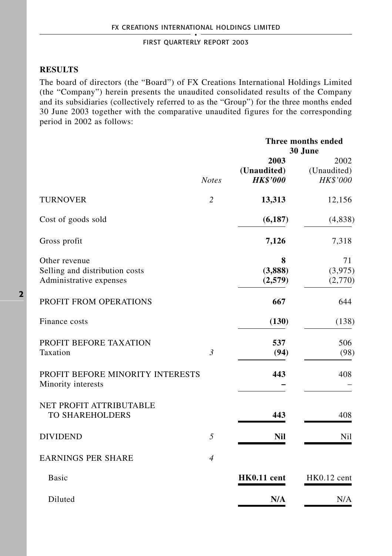# **RESULTS**

The board of directors (the "Board") of FX Creations International Holdings Limited (the "Company") herein presents the unaudited consolidated results of the Company and its subsidiaries (collectively referred to as the "Group") for the three months ended 30 June 2003 together with the comparative unaudited figures for the corresponding period in 2002 as follows:

|                                                                            | <b>Notes</b>   | Three months ended<br>30 June          |                                 |
|----------------------------------------------------------------------------|----------------|----------------------------------------|---------------------------------|
|                                                                            |                | 2003<br>(Unaudited)<br><b>HK\$'000</b> | 2002<br>(Unaudited)<br>HK\$'000 |
| <b>TURNOVER</b>                                                            | $\overline{c}$ | 13,313                                 | 12,156                          |
| Cost of goods sold                                                         |                | (6,187)                                | (4,838)                         |
| Gross profit                                                               |                | 7,126                                  | 7,318                           |
| Other revenue<br>Selling and distribution costs<br>Administrative expenses |                | 8<br>(3,888)<br>(2,579)                | 71<br>(3,975)<br>(2,770)        |
| PROFIT FROM OPERATIONS                                                     |                | 667                                    | 644                             |
| Finance costs                                                              |                | (130)                                  | (138)                           |
| PROFIT BEFORE TAXATION<br>Taxation                                         | $\mathfrak{Z}$ | 537<br>(94)                            | 506<br>(98)                     |
| PROFIT BEFORE MINORITY INTERESTS<br>Minority interests                     |                | 443                                    | 408                             |
| NET PROFIT ATTRIBUTABLE<br><b>TO SHAREHOLDERS</b>                          |                | 443                                    | 408                             |
| <b>DIVIDEND</b>                                                            | 5              | Nil                                    | Nil                             |
| <b>EARNINGS PER SHARE</b>                                                  | $\overline{4}$ |                                        |                                 |
| <b>Basic</b>                                                               |                | HK0.11 cent                            | $HK0.12$ cent                   |
| Diluted                                                                    |                | N/A                                    | N/A                             |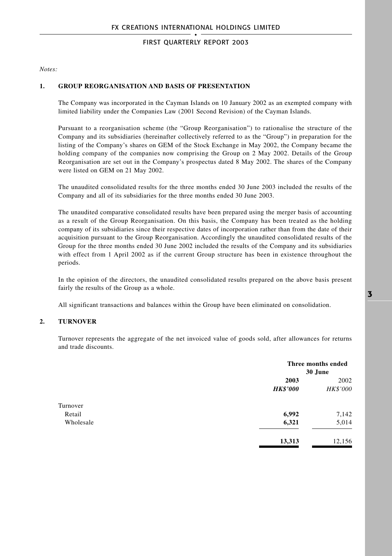*Notes:*

#### **1. GROUP REORGANISATION AND BASIS OF PRESENTATION**

The Company was incorporated in the Cayman Islands on 10 January 2002 as an exempted company with limited liability under the Companies Law (2001 Second Revision) of the Cayman Islands.

Pursuant to a reorganisation scheme (the "Group Reorganisation") to rationalise the structure of the Company and its subsidiaries (hereinafter collectively referred to as the "Group") in preparation for the listing of the Company's shares on GEM of the Stock Exchange in May 2002, the Company became the holding company of the companies now comprising the Group on 2 May 2002. Details of the Group Reorganisation are set out in the Company's prospectus dated 8 May 2002. The shares of the Company were listed on GEM on 21 May 2002.

The unaudited consolidated results for the three months ended 30 June 2003 included the results of the Company and all of its subsidiaries for the three months ended 30 June 2003.

The unaudited comparative consolidated results have been prepared using the merger basis of accounting as a result of the Group Reorganisation. On this basis, the Company has been treated as the holding company of its subsidiaries since their respective dates of incorporation rather than from the date of their acquisition pursuant to the Group Reorganisation. Accordingly the unaudited consolidated results of the Group for the three months ended 30 June 2002 included the results of the Company and its subsidiaries with effect from 1 April 2002 as if the current Group structure has been in existence throughout the periods.

In the opinion of the directors, the unaudited consolidated results prepared on the above basis present fairly the results of the Group as a whole.

All significant transactions and balances within the Group have been eliminated on consolidation.

#### **2. TURNOVER**

Turnover represents the aggregate of the net invoiced value of goods sold, after allowances for returns and trade discounts.

|           |                 | Three months ended<br>30 June |  |
|-----------|-----------------|-------------------------------|--|
|           | 2003            | 2002                          |  |
|           | <b>HK\$'000</b> | HK\$'000                      |  |
| Turnover  |                 |                               |  |
| Retail    | 6,992           | 7,142                         |  |
| Wholesale | 6,321           | 5,014                         |  |
|           | 13,313          | 12,156                        |  |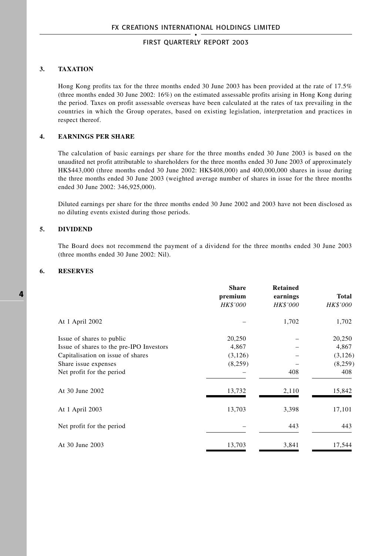### **3. TAXATION**

Hong Kong profits tax for the three months ended 30 June 2003 has been provided at the rate of 17.5% (three months ended 30 June 2002: 16%) on the estimated assessable profits arising in Hong Kong during the period. Taxes on profit assessable overseas have been calculated at the rates of tax prevailing in the countries in which the Group operates, based on existing legislation, interpretation and practices in respect thereof.

#### **4. EARNINGS PER SHARE**

The calculation of basic earnings per share for the three months ended 30 June 2003 is based on the unaudited net profit attributable to shareholders for the three months ended 30 June 2003 of approximately HK\$443,000 (three months ended 30 June 2002: HK\$408,000) and 400,000,000 shares in issue during the three months ended 30 June 2003 (weighted average number of shares in issue for the three months ended 30 June 2002: 346,925,000).

Diluted earnings per share for the three months ended 30 June 2002 and 2003 have not been disclosed as no diluting events existed during those periods.

#### **5. DIVIDEND**

The Board does not recommend the payment of a dividend for the three months ended 30 June 2003 (three months ended 30 June 2002: Nil).

#### **6. RESERVES**

|                                          | <b>Share</b><br>premium<br><b>HK\$'000</b> | <b>Retained</b><br>earnings<br><b>HK\$'000</b> | Total<br>HK\$'000 |
|------------------------------------------|--------------------------------------------|------------------------------------------------|-------------------|
| At 1 April 2002                          |                                            | 1,702                                          | 1,702             |
| Issue of shares to public                | 20,250                                     |                                                | 20,250            |
| Issue of shares to the pre-IPO Investors | 4,867                                      |                                                | 4,867             |
| Capitalisation on issue of shares        | (3,126)                                    |                                                | (3, 126)          |
| Share issue expenses                     | (8,259)                                    |                                                | (8,259)           |
| Net profit for the period                |                                            | 408                                            | 408               |
| At 30 June 2002                          | 13,732                                     | 2,110                                          | 15,842            |
| At 1 April 2003                          | 13,703                                     | 3,398                                          | 17,101            |
| Net profit for the period                |                                            | 443                                            | 443               |
| At 30 June 2003                          | 13,703                                     | 3,841                                          | 17,544            |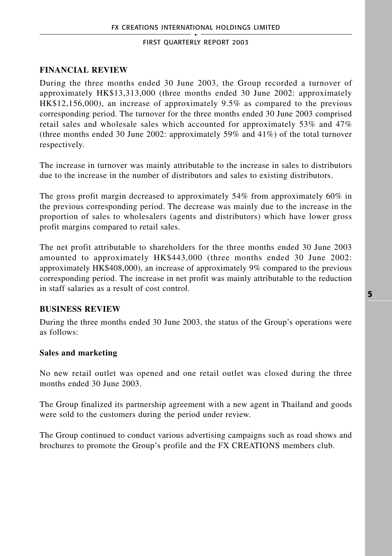# **FINANCIAL REVIEW**

During the three months ended 30 June 2003, the Group recorded a turnover of approximately HK\$13,313,000 (three months ended 30 June 2002: approximately HK\$12,156,000), an increase of approximately 9.5% as compared to the previous corresponding period. The turnover for the three months ended 30 June 2003 comprised retail sales and wholesale sales which accounted for approximately 53% and 47% (three months ended 30 June 2002: approximately 59% and 41%) of the total turnover respectively.

The increase in turnover was mainly attributable to the increase in sales to distributors due to the increase in the number of distributors and sales to existing distributors.

The gross profit margin decreased to approximately 54% from approximately 60% in the previous corresponding period. The decrease was mainly due to the increase in the proportion of sales to wholesalers (agents and distributors) which have lower gross profit margins compared to retail sales.

The net profit attributable to shareholders for the three months ended 30 June 2003 amounted to approximately HK\$443,000 (three months ended 30 June 2002: approximately HK\$408,000), an increase of approximately 9% compared to the previous corresponding period. The increase in net profit was mainly attributable to the reduction in staff salaries as a result of cost control.

# **BUSINESS REVIEW**

During the three months ended 30 June 2003, the status of the Group's operations were as follows:

# **Sales and marketing**

No new retail outlet was opened and one retail outlet was closed during the three months ended 30 June 2003.

The Group finalized its partnership agreement with a new agent in Thailand and goods were sold to the customers during the period under review.

The Group continued to conduct various advertising campaigns such as road shows and brochures to promote the Group's profile and the FX CREATIONS members club.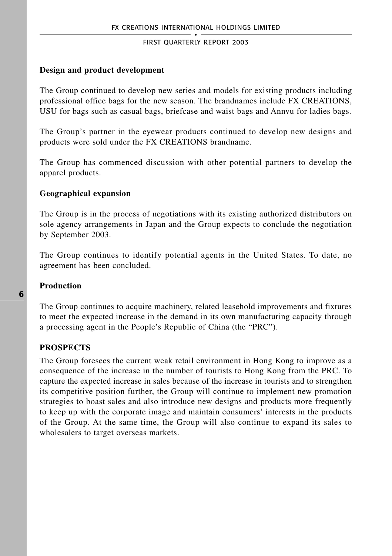### **Design and product development**

The Group continued to develop new series and models for existing products including professional office bags for the new season. The brandnames include FX CREATIONS, USU for bags such as casual bags, briefcase and waist bags and Annvu for ladies bags.

The Group's partner in the eyewear products continued to develop new designs and products were sold under the FX CREATIONS brandname.

The Group has commenced discussion with other potential partners to develop the apparel products.

# **Geographical expansion**

The Group is in the process of negotiations with its existing authorized distributors on sole agency arrangements in Japan and the Group expects to conclude the negotiation by September 2003.

The Group continues to identify potential agents in the United States. To date, no agreement has been concluded.

### **Production**

The Group continues to acquire machinery, related leasehold improvements and fixtures to meet the expected increase in the demand in its own manufacturing capacity through a processing agent in the People's Republic of China (the "PRC").

# **PROSPECTS**

The Group foresees the current weak retail environment in Hong Kong to improve as a consequence of the increase in the number of tourists to Hong Kong from the PRC. To capture the expected increase in sales because of the increase in tourists and to strengthen its competitive position further, the Group will continue to implement new promotion strategies to boast sales and also introduce new designs and products more frequently to keep up with the corporate image and maintain consumers' interests in the products of the Group. At the same time, the Group will also continue to expand its sales to wholesalers to target overseas markets.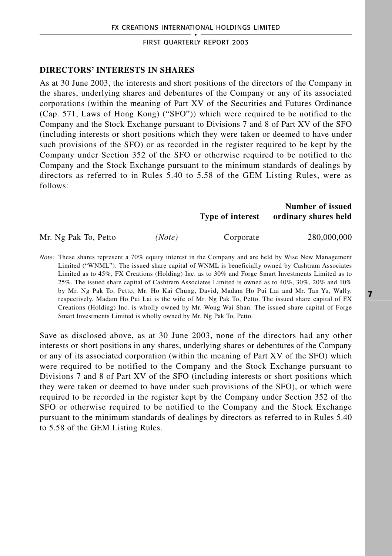### **DIRECTORS' INTERESTS IN SHARES**

As at 30 June 2003, the interests and short positions of the directors of the Company in the shares, underlying shares and debentures of the Company or any of its associated corporations (within the meaning of Part XV of the Securities and Futures Ordinance (Cap. 571, Laws of Hong Kong) ("SFO")) which were required to be notified to the Company and the Stock Exchange pursuant to Divisions 7 and 8 of Part XV of the SFO (including interests or short positions which they were taken or deemed to have under such provisions of the SFO) or as recorded in the register required to be kept by the Company under Section 352 of the SFO or otherwise required to be notified to the Company and the Stock Exchange pursuant to the minimum standards of dealings by directors as referred to in Rules 5.40 to 5.58 of the GEM Listing Rules, were as follows:

# **Number of issued Type of interest ordinary shares held**

Mr. Ng Pak To, Petto *(Note)* Corporate 280,000,000

*Note:* These shares represent a 70% equity interest in the Company and are held by Wise New Management Limited ("WNML"). The issued share capital of WNML is beneficially owned by Cashtram Associates Limited as to 45%, FX Creations (Holding) Inc. as to 30% and Forge Smart Investments Limited as to 25%. The issued share capital of Cashtram Associates Limited is owned as to 40%, 30%, 20% and 10% by Mr. Ng Pak To, Petto, Mr. Ho Kai Chung, David, Madam Ho Pui Lai and Mr. Tan Yu, Wally, respectively. Madam Ho Pui Lai is the wife of Mr. Ng Pak To, Petto. The issued share capital of FX Creations (Holding) Inc. is wholly owned by Mr. Wong Wai Shan. The issued share capital of Forge Smart Investments Limited is wholly owned by Mr. Ng Pak To, Petto.

Save as disclosed above, as at 30 June 2003, none of the directors had any other interests or short positions in any shares, underlying shares or debentures of the Company or any of its associated corporation (within the meaning of Part XV of the SFO) which were required to be notified to the Company and the Stock Exchange pursuant to Divisions 7 and 8 of Part XV of the SFO (including interests or short positions which they were taken or deemed to have under such provisions of the SFO), or which were required to be recorded in the register kept by the Company under Section 352 of the SFO or otherwise required to be notified to the Company and the Stock Exchange pursuant to the minimum standards of dealings by directors as referred to in Rules 5.40 to 5.58 of the GEM Listing Rules.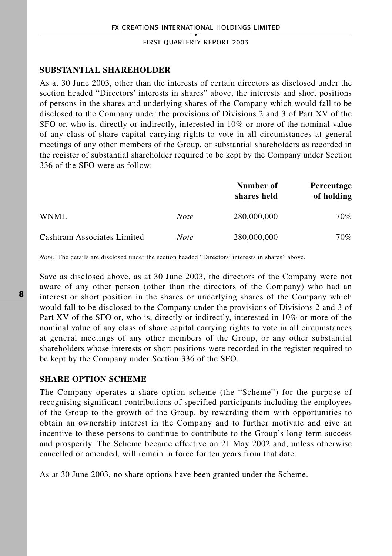### **SUBSTANTIAL SHAREHOLDER**

As at 30 June 2003, other than the interests of certain directors as disclosed under the section headed "Directors' interests in shares" above, the interests and short positions of persons in the shares and underlying shares of the Company which would fall to be disclosed to the Company under the provisions of Divisions 2 and 3 of Part XV of the SFO or, who is, directly or indirectly, interested in 10% or more of the nominal value of any class of share capital carrying rights to vote in all circumstances at general meetings of any other members of the Group, or substantial shareholders as recorded in the register of substantial shareholder required to be kept by the Company under Section 336 of the SFO were as follow:

|                             |             | Number of<br>shares held | <b>Percentage</b><br>of holding |
|-----------------------------|-------------|--------------------------|---------------------------------|
| WNML.                       | <b>Note</b> | 280,000,000              | 70%                             |
| Cashtram Associates Limited | <b>Note</b> | 280,000,000              | 70%                             |

*Note:* The details are disclosed under the section headed "Directors' interests in shares" above.

Save as disclosed above, as at 30 June 2003, the directors of the Company were not aware of any other person (other than the directors of the Company) who had an interest or short position in the shares or underlying shares of the Company which would fall to be disclosed to the Company under the provisions of Divisions 2 and 3 of Part XV of the SFO or, who is, directly or indirectly, interested in 10% or more of the nominal value of any class of share capital carrying rights to vote in all circumstances at general meetings of any other members of the Group, or any other substantial shareholders whose interests or short positions were recorded in the register required to be kept by the Company under Section 336 of the SFO.

#### **SHARE OPTION SCHEME**

The Company operates a share option scheme (the "Scheme") for the purpose of recognising significant contributions of specified participants including the employees of the Group to the growth of the Group, by rewarding them with opportunities to obtain an ownership interest in the Company and to further motivate and give an incentive to these persons to continue to contribute to the Group's long term success and prosperity. The Scheme became effective on 21 May 2002 and, unless otherwise cancelled or amended, will remain in force for ten years from that date.

As at 30 June 2003, no share options have been granted under the Scheme.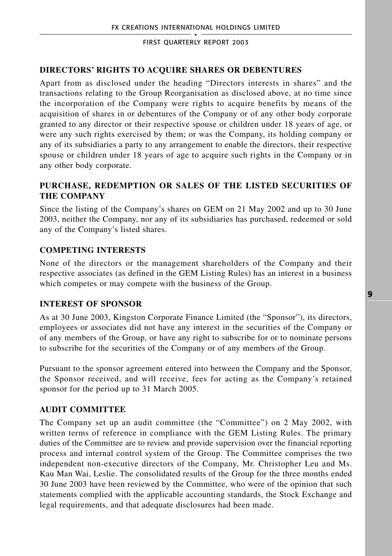# **DIRECTORS' RIGHTS TO ACQUIRE SHARES OR DEBENTURES**

Apart from as disclosed under the heading "Directors interests in shares" and the transactions relating to the Group Reorganisation as disclosed above, at no time since the incorporation of the Company were rights to acquire benefits by means of the acquisition of shares in or debentures of the Company or of any other body corporate granted to any director or their respective spouse or children under 18 years of age, or were any such rights exercised by them; or was the Company, its holding company or any of its subsidiaries a party to any arrangement to enable the directors, their respective spouse or children under 18 years of age to acquire such rights in the Company or in any other body corporate.

# **PURCHASE, REDEMPTION OR SALES OF THE LISTED SECURITIES OF THE COMPANY**

Since the listing of the Company's shares on GEM on 21 May 2002 and up to 30 June 2003, neither the Company, nor any of its subsidiaries has purchased, redeemed or sold any of the Company's listed shares.

# **COMPETING INTERESTS**

None of the directors or the management shareholders of the Company and their respective associates (as defined in the GEM Listing Rules) has an interest in a business which competes or may compete with the business of the Group.

# **INTEREST OF SPONSOR**

As at 30 June 2003, Kingston Corporate Finance Limited (the "Sponsor"), its directors, employees or associates did not have any interest in the securities of the Company or of any members of the Group, or have any right to subscribe for or to nominate persons to subscribe for the securities of the Company or of any members of the Group.

Pursuant to the sponsor agreement entered into between the Company and the Sponsor, the Sponsor received, and will receive, fees for acting as the Company's retained sponsor for the period up to 31 March 2005.

# **AUDIT COMMITTEE**

The Company set up an audit committee (the "Committee") on 2 May 2002, with written terms of reference in compliance with the GEM Listing Rules. The primary duties of the Committee are to review and provide supervision over the financial reporting process and internal control system of the Group. The Committee comprises the two independent non-executive directors of the Company, Mr. Christopher Leu and Ms. Kau Man Wai, Leslie. The consolidated results of the Group for the three months ended 30 June 2003 have been reviewed by the Committee, who were of the opinion that such statements complied with the applicable accounting standards, the Stock Exchange and legal requirements, and that adequate disclosures had been made.